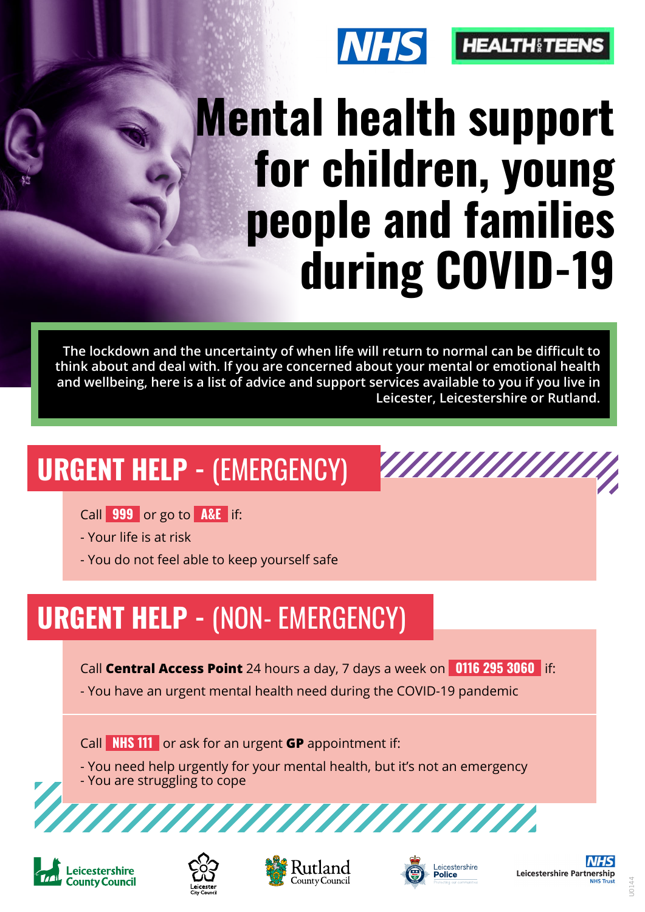

# **Mental health support for children, young people and families during COVID-19**

**ANANANANA** 

**The lockdown and the uncertainty of when life will return to normal can be difficult to think about and deal with. If you are concerned about your mental or emotional health and wellbeing, here is a list of advice and support services available to you if you live in Leicester, Leicestershire or Rutland.**

## **URGENT HELP - (EMERGENCY)**

Call **999** or go to **A&E** if:

- Your life is at risk

- You do not feel able to keep yourself safe

### **URGENT HELP - (NON- EMERGENCY)**

Call **Central Access Point** 24 hours a day, 7 days a week on **0116 295 3060** if:

- You have an urgent mental health need during the COVID-19 pandemic

Call **NHS 111** or ask for an urgent **GP** appointment if:

- You need help urgently for your mental health, but it's not an emergency
- You are struggling to cope











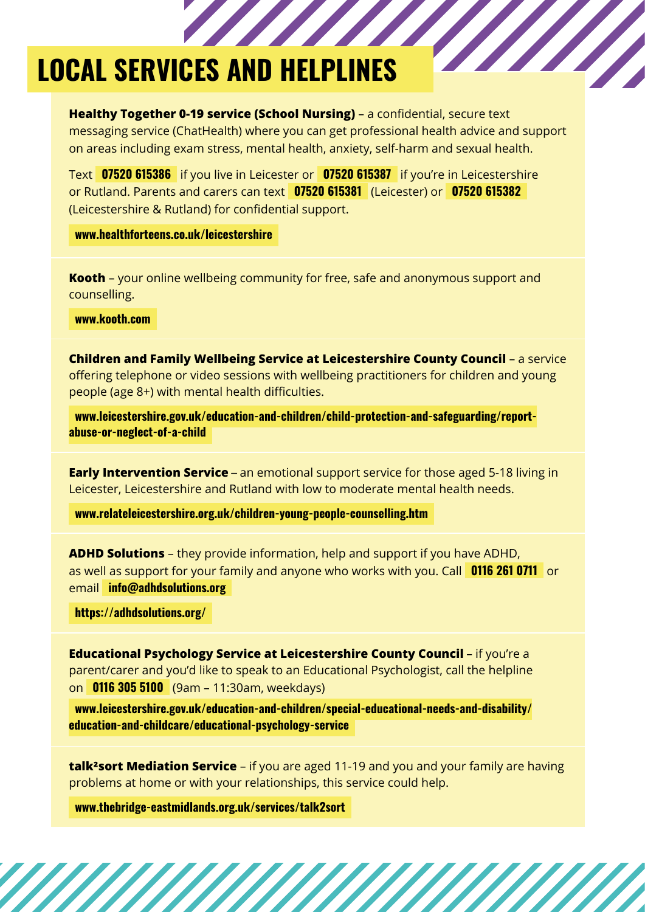#### **LOCAL SERVICES AND HELPLINES**

**Healthy Together 0-19 service (School Nursing)** – a confidential, secure text messaging service (ChatHealth) where you can get professional health advice and support on areas including exam stress, mental health, anxiety, self-harm and sexual health.

Text **07520 615386** if you live in Leicester or **07520 615387** if you're in Leicestershire or Rutland. Parents and carers can text **07520 615381** (Leicester) or **07520 615382**  (Leicestershire & Rutland) for confidential support.

 **[www.healthforteens.co.uk/leicestershire](http://www.healthforteens.co.uk/leicestershire)** 

**Kooth** – your online wellbeing community for free, safe and anonymous support and counselling.

 **[www.kooth.com](http://www.kooth.com/)** 

**Children and Family Wellbeing Service at Leicestershire County Council** – a service offering telephone or video sessions with wellbeing practitioners for children and young people (age 8+) with mental health difficulties.

 **[www.leicestershire.gov.uk/education-and-children/child-protection-and-safeguarding/report](http://www.leicestershire.gov.uk/education-and-children/child-protection-and-safeguarding/report-abuse-or-neglect-of-a-child)[abuse-or-neglect-of-a-child](http://www.leicestershire.gov.uk/education-and-children/child-protection-and-safeguarding/report-abuse-or-neglect-of-a-child)** 

**Early Intervention Service** – an emotional support service for those aged 5-18 living in Leicester, Leicestershire and Rutland with low to moderate mental health needs.

 **[www.relateleicestershire.org.uk/children-young-people-counselling.htm](http://www.relateleicestershire.org.uk/children-young-people-counselling.htm)** 

**ADHD Solutions** – they provide information, help and support if you have ADHD, as well as support for your family and anyone who works with you. Call **0116 261 0711** or email **[info@adhdsolutions.org](mailto:info@adhdsolutions.org)** 

 **<https://adhdsolutions.org/>** 

**Educational Psychology Service at Leicestershire County Council** – if you're a parent/carer and you'd like to speak to an Educational Psychologist, call the helpline on **0116 305 5100** (9am – 11:30am, weekdays)

 **[www.leicestershire.gov.uk/education-and-children/special-educational-needs-and-disability/](http://www.leicestershire.gov.uk/education-and-children/special-educational-needs-and-disability/education-and-childcare/educational-psychology-service) [education-and-childcare/educational-psychology-service](http://www.leicestershire.gov.uk/education-and-children/special-educational-needs-and-disability/education-and-childcare/educational-psychology-service)** 

**talk²sort Mediation Service** – if you are aged 11-19 and you and your family are having problems at home or with your relationships, this service could help.

 **[www.thebridge-eastmidlands.org.uk/services/talk2sort](http://www.thebridge-eastmidlands.org.uk/services/talk2sort)**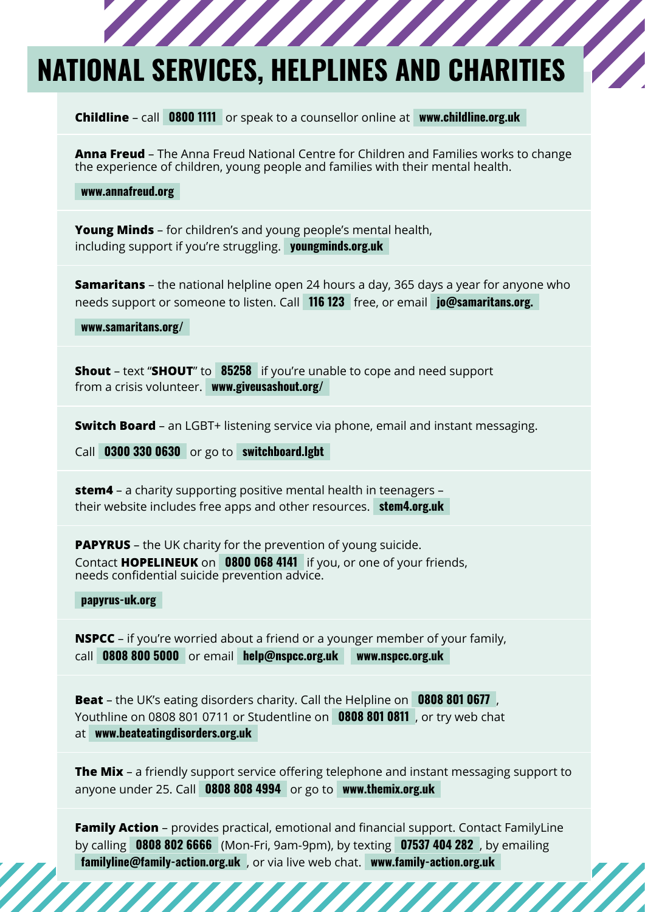#### **NATIONAL SERVICES, HELPLINES AND CHARITIES**

**Childline** – call **0800 1111** or speak to a counsellor online at **[www.childline.org.uk](http://www.childline.org.uk/)** 

**Anna Freud** – The Anna Freud National Centre for Children and Families works to change the experience of children, young people and families with their mental health.

 **[www.annafreud.org](http://www.annafreud.org/)** 

**Young Minds** – for children's and young people's mental health, including support if you're struggling. **[youngminds.org.uk](https://youngminds.org.uk/)** 

**Samaritans** – the national helpline open 24 hours a day, 365 days a year for anyone who needs support or someone to listen. Call **116 123** free, or email **jo@samaritans.org.** 

 **www.samaritans.org/** 

**Shout** – text "**SHOUT**" to **85258** if you're unable to cope and need support from a crisis volunteer. **[www.giveusashout.org/](http://www.giveusashout.org/)** 

**Switch Board** – an LGBT+ listening service via phone, email and instant messaging.

Call **0300 330 0630** or go to **[switchboard.lgbt](https://switchboard.lgbt/)** 

**stem4** – a charity supporting positive mental health in teenagers – their website includes free apps and other resources. **[stem4.org.uk](https://stem4.org.uk/)** 

**PAPYRUS** – the UK charity for the prevention of young suicide. Contact **HOPELINEUK** on **0800 068 4141** if you, or one of your friends, needs confidential suicide prevention advice.

 **[papyrus-uk.org](https://papyrus-uk.org/)** 

**NSPCC** – if you're worried about a friend or a younger member of your family, call **0808 800 5000** or email **[help@nspcc.org.uk](mailto:help@nspcc.org.uk) [www.nspcc.org.uk](http://www.nspcc.org.uk)** 

**Beat** – the UK's eating disorders charity. Call the Helpline on **0808 801 0677** , Youthline on 0808 801 0711 or Studentline on **0808 801 0811** , or try web chat at **[www.beateatingdisorders.org.uk](http://www.beateatingdisorders.org.uk)** 

**The Mix** – a friendly support service offering telephone and instant messaging support to anyone under 25. Call **0808 808 4994** or go to **[www.themix.org.uk](http://www.themix.org.uk/)** 

**Family Action** – provides practical, emotional and financial support. Contact FamilyLine by calling **0808 802 6666** (Mon-Fri, 9am-9pm), by texting **07537 404 282** , by emailing  **[familyline@family-action.org.uk](mailto:familyline@family-action.org.uk)** , or via live web chat. **[www.family-action.org.uk](http://www.family-action.org.uk)**